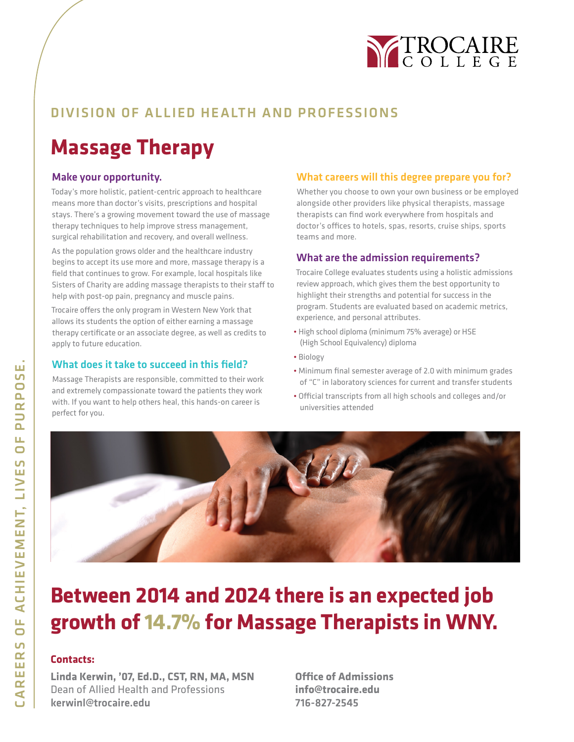

## DIVISION OF ALLIED HEALTH AND PROFESSIONS

## **Massage Therapy**

#### Make your opportunity.

Today's more holistic, patient-centric approach to healthcare means more than doctor's visits, prescriptions and hospital stays. There's a growing movement toward the use of massage therapy techniques to help improve stress management, surgical rehabilitation and recovery, and overall wellness.

As the population grows older and the healthcare industry begins to accept its use more and more, massage therapy is a field that continues to grow. For example, local hospitals like Sisters of Charity are adding massage therapists to their staff to help with post-op pain, pregnancy and muscle pains.

Trocaire offers the only program in Western New York that allows its students the option of either earning a massage therapy certificate or an associate degree, as well as credits to apply to future education.

#### What does it take to succeed in this field?

Massage Therapists are responsible, committed to their work and extremely compassionate toward the patients they work with. If you want to help others heal, this hands-on career is perfect for you.

#### What careers will this degree prepare you for?

Whether you choose to own your own business or be employed alongside other providers like physical therapists, massage therapists can find work everywhere from hospitals and doctor's offices to hotels, spas, resorts, cruise ships, sports teams and more.

#### What are the admission requirements?

Trocaire College evaluates students using a holistic admissions review approach, which gives them the best opportunity to highlight their strengths and potential for success in the program. Students are evaluated based on academic metrics, experience, and personal attributes.

- High school diploma (minimum 75% average) or HSE (High School Equivalency) diploma
- Biology
- Minimum final semester average of 2.0 with minimum grades of "C" in laboratory sciences for current and transfer students
- Official transcripts from all high schools and colleges and/or universities attended



## **Between 2014 and 2024 there is an expected job growth of 14.7% for Massage Therapists in WNY.**

### **Contacts:**

**Linda Kerwin, '07, Ed.D., CST, RN, MA, MSN** Dean of Allied Health and Professions kerwinl@trocaire.edu

**Office of Admissions info@trocaire.edu** 716-827-2545